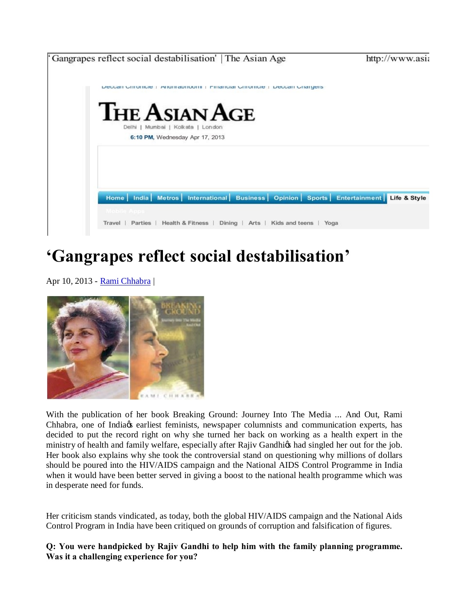

## **'Gangrapes reflect social destabilisation'**

Apr 10, 2013 - **Rami Chhabra** 



With the publication of her book Breaking Ground: Journey Into The Media ... And Out, Rami Chhabra, one of India & earliest feminists, newspaper columnists and communication experts, has decided to put the record right on why she turned her back on working as a health expert in the ministry of health and family welfare, especially after Rajiv Gandhigs had singled her out for the job. Her book also explains why she took the controversial stand on questioning why millions of dollars should be poured into the HIV/AIDS campaign and the National AIDS Control Programme in India when it would have been better served in giving a boost to the national health programme which was in desperate need for funds.

Her criticism stands vindicated, as today, both the global HIV/AIDS campaign and the National Aids Control Program in India have been critiqued on grounds of corruption and falsification of figures.

**Q: You were handpicked by Rajiv Gandhi to help him with the family planning programme. Was it a challenging experience for you?**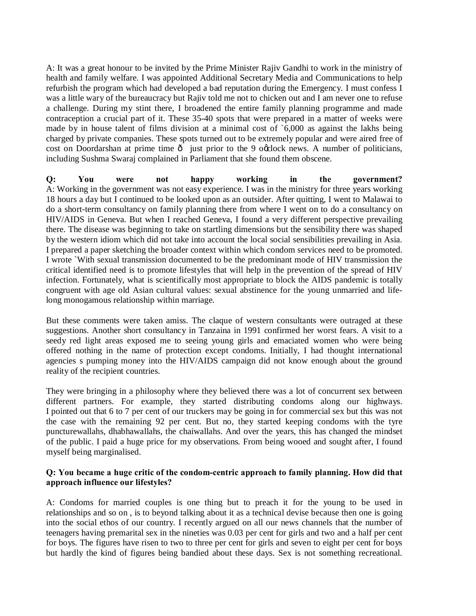A: It was a great honour to be invited by the Prime Minister Rajiv Gandhi to work in the ministry of health and family welfare. I was appointed Additional Secretary Media and Communications to help refurbish the program which had developed a bad reputation during the Emergency. I must confess I was a little wary of the bureaucracy but Rajiv told me not to chicken out and I am never one to refuse a challenge. During my stint there, I broadened the entire family planning programme and made contraception a crucial part of it. These 35-40 spots that were prepared in a matter of weeks were made by in house talent of films division at a minimal cost of `6,000 as against the lakhs being charged by private companies. These spots turned out to be extremely popular and were aired free of cost on Doordarshan at prime time  $\hat{o}$  just prior to the 9 occlock news. A number of politicians, including Sushma Swaraj complained in Parliament that she found them obscene.

**Q: You were not happy working in the government?** A: Working in the government was not easy experience. I was in the ministry for three years working 18 hours a day but I continued to be looked upon as an outsider. After quitting, I went to Malawai to do a short-term consultancy on family planning there from where I went on to do a consultancy on HIV/AIDS in Geneva. But when I reached Geneva, I found a very different perspective prevailing there. The disease was beginning to take on startling dimensions but the sensibility there was shaped by the western idiom which did not take into account the local social sensibilities prevailing in Asia. I prepared a paper sketching the broader context within which condom services need to be promoted. I wrote `With sexual transmission documented to be the predominant mode of HIV transmission the critical identified need is to promote lifestyles that will help in the prevention of the spread of HIV infection. Fortunately, what is scientifically most appropriate to block the AIDS pandemic is totally congruent with age old Asian cultural values: sexual abstinence for the young unmarried and lifelong monogamous relationship within marriage.

But these comments were taken amiss. The claque of western consultants were outraged at these suggestions. Another short consultancy in Tanzaina in 1991 confirmed her worst fears. A visit to a seedy red light areas exposed me to seeing young girls and emaciated women who were being offered nothing in the name of protection except condoms. Initially, I had thought international agencies s pumping money into the HIV/AIDS campaign did not know enough about the ground reality of the recipient countries.

They were bringing in a philosophy where they believed there was a lot of concurrent sex between different partners. For example, they started distributing condoms along our highways. I pointed out that 6 to 7 per cent of our truckers may be going in for commercial sex but this was not the case with the remaining 92 per cent. But no, they started keeping condoms with the tyre puncturewallahs, dhabhawallahs, the chaiwallahs. And over the years, this has changed the mindset of the public. I paid a huge price for my observations. From being wooed and sought after, I found myself being marginalised.

## **Q: You became a huge critic of the condom-centric approach to family planning. How did that approach influence our lifestyles?**

A: Condoms for married couples is one thing but to preach it for the young to be used in relationships and so on , is to beyond talking about it as a technical devise because then one is going into the social ethos of our country. I recently argued on all our news channels that the number of teenagers having premarital sex in the nineties was 0.03 per cent for girls and two and a half per cent for boys. The figures have risen to two to three per cent for girls and seven to eight per cent for boys but hardly the kind of figures being bandied about these days. Sex is not something recreational.